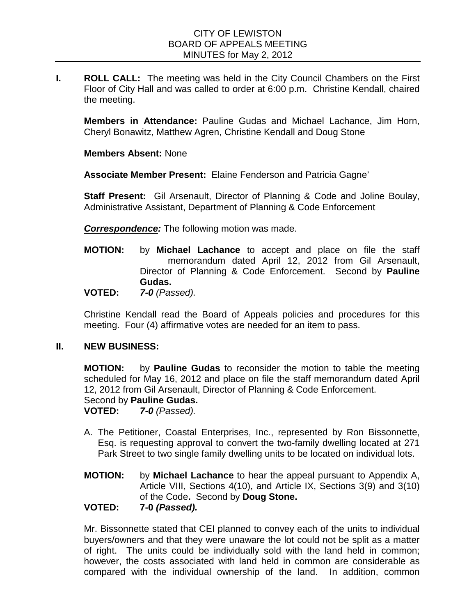**I. ROLL CALL:** The meeting was held in the City Council Chambers on the First Floor of City Hall and was called to order at 6:00 p.m. Christine Kendall, chaired the meeting.

**Members in Attendance:** Pauline Gudas and Michael Lachance, Jim Horn, Cheryl Bonawitz, Matthew Agren, Christine Kendall and Doug Stone

**Members Absent:** None

**Associate Member Present:** Elaine Fenderson and Patricia Gagne'

**Staff Present:** Gil Arsenault, Director of Planning & Code and Joline Boulay, Administrative Assistant, Department of Planning & Code Enforcement

*Correspondence:* The following motion was made.

**MOTION:** by **Michael Lachance** to accept and place on file the staff memorandum dated April 12, 2012 from Gil Arsenault, Director of Planning & Code Enforcement. Second by **Pauline Gudas.**

**VOTED:** *7-0 (Passed).*

Christine Kendall read the Board of Appeals policies and procedures for this meeting. Four (4) affirmative votes are needed for an item to pass.

## **II. NEW BUSINESS:**

**MOTION:** by **Pauline Gudas** to reconsider the motion to table the meeting scheduled for May 16, 2012 and place on file the staff memorandum dated April 12, 2012 from Gil Arsenault, Director of Planning & Code Enforcement.

Second by **Pauline Gudas.**<br>**VOTED:** 7-0 (Passed). **7-0** (Passed).

- A. The Petitioner, Coastal Enterprises, Inc., represented by Ron Bissonnette, Esq. is requesting approval to convert the two-family dwelling located at 271 Park Street to two single family dwelling units to be located on individual lots.
- **MOTION:** by **Michael Lachance** to hear the appeal pursuant to Appendix A, Article VIII, Sections 4(10), and Article IX, Sections 3(9) and 3(10) of the Code**.** Second by **Doug Stone.**

## **VOTED: 7-0** *(Passed).*

Mr. Bissonnette stated that CEI planned to convey each of the units to individual buyers/owners and that they were unaware the lot could not be split as a matter of right. The units could be individually sold with the land held in common; however, the costs associated with land held in common are considerable as compared with the individual ownership of the land. In addition, common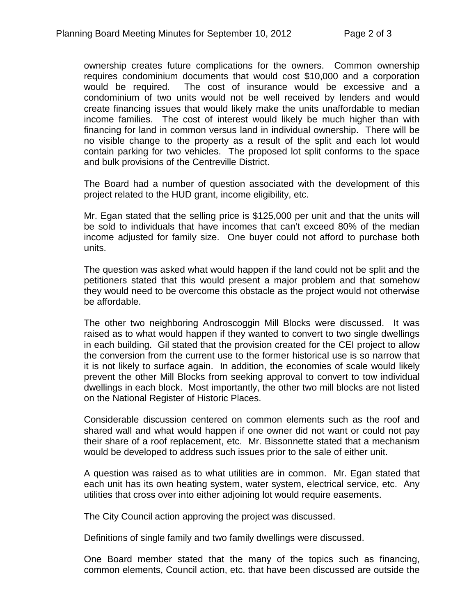ownership creates future complications for the owners. Common ownership requires condominium documents that would cost \$10,000 and a corporation would be required. The cost of insurance would be excessive and a condominium of two units would not be well received by lenders and would create financing issues that would likely make the units unaffordable to median income families. The cost of interest would likely be much higher than with financing for land in common versus land in individual ownership. There will be no visible change to the property as a result of the split and each lot would contain parking for two vehicles. The proposed lot split conforms to the space and bulk provisions of the Centreville District.

The Board had a number of question associated with the development of this project related to the HUD grant, income eligibility, etc.

Mr. Egan stated that the selling price is \$125,000 per unit and that the units will be sold to individuals that have incomes that can't exceed 80% of the median income adjusted for family size. One buyer could not afford to purchase both units.

The question was asked what would happen if the land could not be split and the petitioners stated that this would present a major problem and that somehow they would need to be overcome this obstacle as the project would not otherwise be affordable.

The other two neighboring Androscoggin Mill Blocks were discussed. It was raised as to what would happen if they wanted to convert to two single dwellings in each building. Gil stated that the provision created for the CEI project to allow the conversion from the current use to the former historical use is so narrow that it is not likely to surface again. In addition, the economies of scale would likely prevent the other Mill Blocks from seeking approval to convert to tow individual dwellings in each block. Most importantly, the other two mill blocks are not listed on the National Register of Historic Places.

Considerable discussion centered on common elements such as the roof and shared wall and what would happen if one owner did not want or could not pay their share of a roof replacement, etc. Mr. Bissonnette stated that a mechanism would be developed to address such issues prior to the sale of either unit.

A question was raised as to what utilities are in common. Mr. Egan stated that each unit has its own heating system, water system, electrical service, etc. Any utilities that cross over into either adjoining lot would require easements.

The City Council action approving the project was discussed.

Definitions of single family and two family dwellings were discussed.

One Board member stated that the many of the topics such as financing, common elements, Council action, etc. that have been discussed are outside the